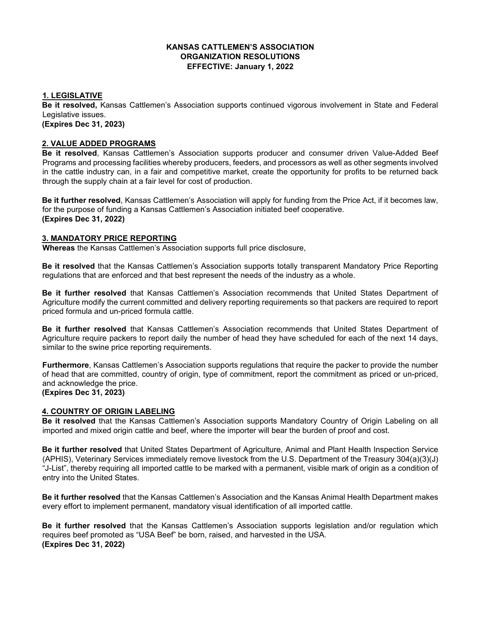## **KANSAS CATTLEMEN'S ASSOCIATION ORGANIZATION RESOLUTIONS EFFECTIVE: January 1, 2022**

## **1. LEGISLATIVE**

**Be it resolved,** Kansas Cattlemen's Association supports continued vigorous involvement in State and Federal Legislative issues.

**(Expires Dec 31, 2023)**

## **2. VALUE ADDED PROGRAMS**

**Be it resolved**, Kansas Cattlemen's Association supports producer and consumer driven Value-Added Beef Programs and processing facilities whereby producers, feeders, and processors as well as other segments involved in the cattle industry can, in a fair and competitive market, create the opportunity for profits to be returned back through the supply chain at a fair level for cost of production.

**Be it further resolved**, Kansas Cattlemen's Association will apply for funding from the Price Act, if it becomes law, for the purpose of funding a Kansas Cattlemen's Association initiated beef cooperative. **(Expires Dec 31, 2022)**

## **3. MANDATORY PRICE REPORTING**

**Whereas** the Kansas Cattlemen's Association supports full price disclosure,

**Be it resolved** that the Kansas Cattlemen's Association supports totally transparent Mandatory Price Reporting regulations that are enforced and that best represent the needs of the industry as a whole.

**Be it further resolved** that Kansas Cattlemen's Association recommends that United States Department of Agriculture modify the current committed and delivery reporting requirements so that packers are required to report priced formula and un-priced formula cattle.

**Be it further resolved** that Kansas Cattlemen's Association recommends that United States Department of Agriculture require packers to report daily the number of head they have scheduled for each of the next 14 days, similar to the swine price reporting requirements.

**Furthermore**, Kansas Cattlemen's Association supports regulations that require the packer to provide the number of head that are committed, country of origin, type of commitment, report the commitment as priced or un-priced, and acknowledge the price. **(Expires Dec 31, 2023)**

# **4. COUNTRY OF ORIGIN LABELING**

**Be it resolved** that the Kansas Cattlemen's Association supports Mandatory Country of Origin Labeling on all imported and mixed origin cattle and beef, where the importer will bear the burden of proof and cost.

**Be it further resolved** that United States Department of Agriculture, Animal and Plant Health Inspection Service (APHIS), Veterinary Services immediately remove livestock from the U.S. Department of the Treasury 304(a)(3)(J) "J-List", thereby requiring all imported cattle to be marked with a permanent, visible mark of origin as a condition of entry into the United States.

**Be it further resolved** that the Kansas Cattlemen's Association and the Kansas Animal Health Department makes every effort to implement permanent, mandatory visual identification of all imported cattle.

**Be it further resolved** that the Kansas Cattlemen's Association supports legislation and/or regulation which requires beef promoted as "USA Beef" be born, raised, and harvested in the USA. **(Expires Dec 31, 2022)**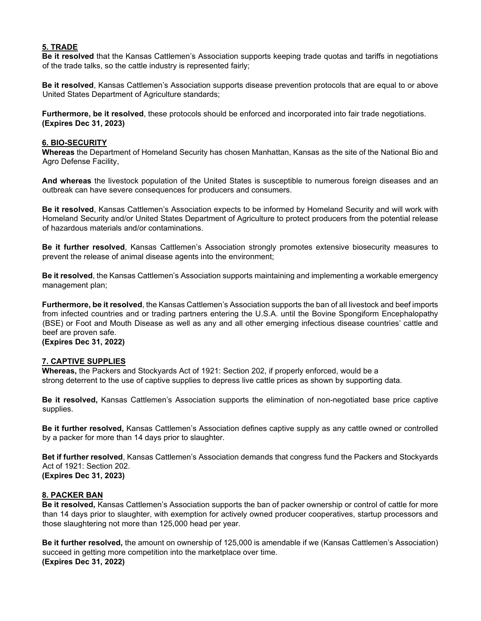## **5. TRADE**

**Be it resolved** that the Kansas Cattlemen's Association supports keeping trade quotas and tariffs in negotiations of the trade talks, so the cattle industry is represented fairly;

**Be it resolved**, Kansas Cattlemen's Association supports disease prevention protocols that are equal to or above United States Department of Agriculture standards;

**Furthermore, be it resolved**, these protocols should be enforced and incorporated into fair trade negotiations. **(Expires Dec 31, 2023)**

### **6. BIO-SECURITY**

**Whereas** the Department of Homeland Security has chosen Manhattan, Kansas as the site of the National Bio and Agro Defense Facility,

**And whereas** the livestock population of the United States is susceptible to numerous foreign diseases and an outbreak can have severe consequences for producers and consumers.

**Be it resolved**, Kansas Cattlemen's Association expects to be informed by Homeland Security and will work with Homeland Security and/or United States Department of Agriculture to protect producers from the potential release of hazardous materials and/or contaminations.

**Be it further resolved**, Kansas Cattlemen's Association strongly promotes extensive biosecurity measures to prevent the release of animal disease agents into the environment;

**Be it resolved**, the Kansas Cattlemen's Association supports maintaining and implementing a workable emergency management plan;

**Furthermore, be it resolved**, the Kansas Cattlemen's Association supports the ban of all livestock and beef imports from infected countries and or trading partners entering the U.S.A. until the Bovine Spongiform Encephalopathy (BSE) or Foot and Mouth Disease as well as any and all other emerging infectious disease countries' cattle and beef are proven safe.

## **(Expires Dec 31, 2022)**

#### **7. CAPTIVE SUPPLIES**

**Whereas,** the Packers and Stockyards Act of 1921: Section 202, if properly enforced, would be a strong deterrent to the use of captive supplies to depress live cattle prices as shown by supporting data.

**Be it resolved,** Kansas Cattlemen's Association supports the elimination of non-negotiated base price captive supplies.

**Be it further resolved,** Kansas Cattlemen's Association defines captive supply as any cattle owned or controlled by a packer for more than 14 days prior to slaughter.

**Bet if further resolved**, Kansas Cattlemen's Association demands that congress fund the Packers and Stockyards Act of 1921: Section 202. **(Expires Dec 31, 2023)**

#### **8. PACKER BAN**

**Be it resolved,** Kansas Cattlemen's Association supports the ban of packer ownership or control of cattle for more than 14 days prior to slaughter, with exemption for actively owned producer cooperatives, startup processors and those slaughtering not more than 125,000 head per year.

**Be it further resolved,** the amount on ownership of 125,000 is amendable if we (Kansas Cattlemen's Association) succeed in getting more competition into the marketplace over time. **(Expires Dec 31, 2022)**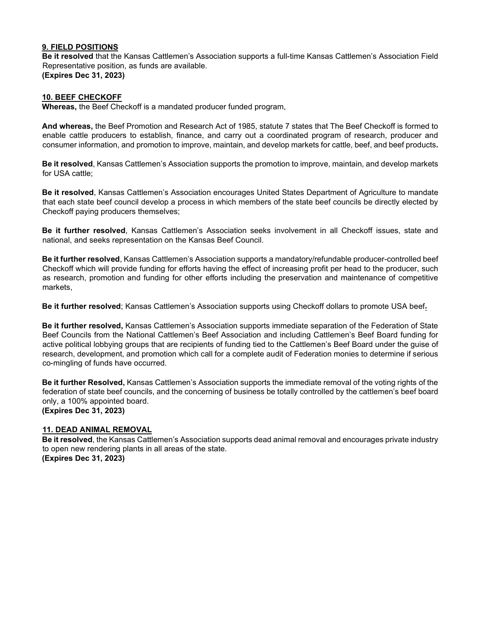## **9. FIELD POSITIONS**

**Be it resolved** that the Kansas Cattlemen's Association supports a full-time Kansas Cattlemen's Association Field Representative position, as funds are available. **(Expires Dec 31, 2023)**

### **10. BEEF CHECKOFF**

**Whereas,** the Beef Checkoff is a mandated producer funded program,

**And whereas,** the Beef Promotion and Research Act of 1985, statute 7 states that The Beef Checkoff is formed to enable cattle producers to establish, finance, and carry out a coordinated program of research, producer and consumer information, and promotion to improve, maintain, and develop markets for cattle, beef, and beef products**.** 

**Be it resolved**, Kansas Cattlemen's Association supports the promotion to improve, maintain, and develop markets for USA cattle;

**Be it resolved**, Kansas Cattlemen's Association encourages United States Department of Agriculture to mandate that each state beef council develop a process in which members of the state beef councils be directly elected by Checkoff paying producers themselves;

**Be it further resolved**, Kansas Cattlemen's Association seeks involvement in all Checkoff issues, state and national, and seeks representation on the Kansas Beef Council.

**Be it further resolved**, Kansas Cattlemen's Association supports a mandatory/refundable producer-controlled beef Checkoff which will provide funding for efforts having the effect of increasing profit per head to the producer, such as research, promotion and funding for other efforts including the preservation and maintenance of competitive markets,

**Be it further resolved**; Kansas Cattlemen's Association supports using Checkoff dollars to promote USA beef.

**Be it further resolved,** Kansas Cattlemen's Association supports immediate separation of the Federation of State Beef Councils from the National Cattlemen's Beef Association and including Cattlemen's Beef Board funding for active political lobbying groups that are recipients of funding tied to the Cattlemen's Beef Board under the guise of research, development, and promotion which call for a complete audit of Federation monies to determine if serious co-mingling of funds have occurred.

**Be it further Resolved,** Kansas Cattlemen's Association supports the immediate removal of the voting rights of the federation of state beef councils, and the concerning of business be totally controlled by the cattlemen's beef board only, a 100% appointed board. **(Expires Dec 31, 2023)**

#### **11. DEAD ANIMAL REMOVAL**

**Be it resolved**, the Kansas Cattlemen's Association supports dead animal removal and encourages private industry to open new rendering plants in all areas of the state. **(Expires Dec 31, 2023)**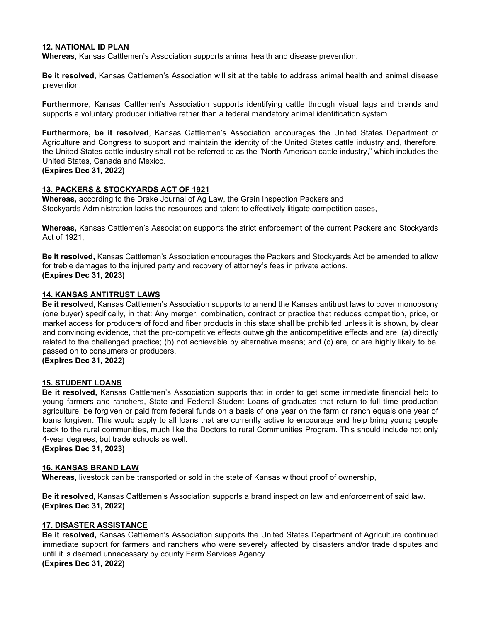### **12. NATIONAL ID PLAN**

**Whereas**, Kansas Cattlemen's Association supports animal health and disease prevention.

**Be it resolved**, Kansas Cattlemen's Association will sit at the table to address animal health and animal disease prevention.

**Furthermore**, Kansas Cattlemen's Association supports identifying cattle through visual tags and brands and supports a voluntary producer initiative rather than a federal mandatory animal identification system.

**Furthermore, be it resolved**, Kansas Cattlemen's Association encourages the United States Department of Agriculture and Congress to support and maintain the identity of the United States cattle industry and, therefore, the United States cattle industry shall not be referred to as the "North American cattle industry," which includes the United States, Canada and Mexico.

#### **(Expires Dec 31, 2022)**

## **13. PACKERS & STOCKYARDS ACT OF 1921**

**Whereas,** according to the Drake Journal of Ag Law, the Grain Inspection Packers and Stockyards Administration lacks the resources and talent to effectively litigate competition cases,

**Whereas,** Kansas Cattlemen's Association supports the strict enforcement of the current Packers and Stockyards Act of 1921,

**Be it resolved,** Kansas Cattlemen's Association encourages the Packers and Stockyards Act be amended to allow for treble damages to the injured party and recovery of attorney's fees in private actions. **(Expires Dec 31, 2023)**

## **14. KANSAS ANTITRUST LAWS**

**Be it resolved,** Kansas Cattlemen's Association supports to amend the Kansas antitrust laws to cover monopsony (one buyer) specifically, in that: Any merger, combination, contract or practice that reduces competition, price, or market access for producers of food and fiber products in this state shall be prohibited unless it is shown, by clear and convincing evidence, that the pro-competitive effects outweigh the anticompetitive effects and are: (a) directly related to the challenged practice; (b) not achievable by alternative means; and (c) are, or are highly likely to be, passed on to consumers or producers.

**(Expires Dec 31, 2022)**

#### **15. STUDENT LOANS**

**Be it resolved,** Kansas Cattlemen's Association supports that in order to get some immediate financial help to young farmers and ranchers, State and Federal Student Loans of graduates that return to full time production agriculture, be forgiven or paid from federal funds on a basis of one year on the farm or ranch equals one year of loans forgiven. This would apply to all loans that are currently active to encourage and help bring young people back to the rural communities, much like the Doctors to rural Communities Program. This should include not only 4-year degrees, but trade schools as well.

**(Expires Dec 31, 2023)**

#### **16. KANSAS BRAND LAW**

**Whereas,** livestock can be transported or sold in the state of Kansas without proof of ownership,

**Be it resolved,** Kansas Cattlemen's Association supports a brand inspection law and enforcement of said law. **(Expires Dec 31, 2022)**

#### **17. DISASTER ASSISTANCE**

**Be it resolved,** Kansas Cattlemen's Association supports the United States Department of Agriculture continued immediate support for farmers and ranchers who were severely affected by disasters and/or trade disputes and until it is deemed unnecessary by county Farm Services Agency. **(Expires Dec 31, 2022)**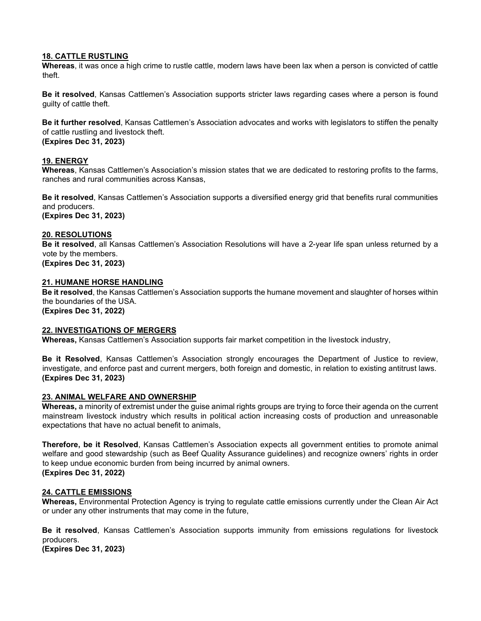#### **18. CATTLE RUSTLING**

**Whereas**, it was once a high crime to rustle cattle, modern laws have been lax when a person is convicted of cattle theft.

**Be it resolved**, Kansas Cattlemen's Association supports stricter laws regarding cases where a person is found guilty of cattle theft.

**Be it further resolved**, Kansas Cattlemen's Association advocates and works with legislators to stiffen the penalty of cattle rustling and livestock theft. **(Expires Dec 31, 2023)**

#### **19. ENERGY**

**Whereas**, Kansas Cattlemen's Association's mission states that we are dedicated to restoring profits to the farms, ranches and rural communities across Kansas,

**Be it resolved**, Kansas Cattlemen's Association supports a diversified energy grid that benefits rural communities and producers. **(Expires Dec 31, 2023)**

## **20. RESOLUTIONS**

**Be it resolved**, all Kansas Cattlemen's Association Resolutions will have a 2-year life span unless returned by a vote by the members.

**(Expires Dec 31, 2023)**

#### **21. HUMANE HORSE HANDLING**

**Be it resolved**, the Kansas Cattlemen's Association supports the humane movement and slaughter of horses within the boundaries of the USA.

**(Expires Dec 31, 2022)** 

#### **22. INVESTIGATIONS OF MERGERS**

**Whereas,** Kansas Cattlemen's Association supports fair market competition in the livestock industry,

**Be it Resolved**, Kansas Cattlemen's Association strongly encourages the Department of Justice to review, investigate, and enforce past and current mergers, both foreign and domestic, in relation to existing antitrust laws. **(Expires Dec 31, 2023)**

#### **23. ANIMAL WELFARE AND OWNERSHIP**

**Whereas,** a minority of extremist under the guise animal rights groups are trying to force their agenda on the current mainstream livestock industry which results in political action increasing costs of production and unreasonable expectations that have no actual benefit to animals,

**Therefore, be it Resolved**, Kansas Cattlemen's Association expects all government entities to promote animal welfare and good stewardship (such as Beef Quality Assurance guidelines) and recognize owners' rights in order to keep undue economic burden from being incurred by animal owners. **(Expires Dec 31, 2022)**

## **24. CATTLE EMISSIONS**

**Whereas,** Environmental Protection Agency is trying to regulate cattle emissions currently under the Clean Air Act or under any other instruments that may come in the future,

**Be it resolved**, Kansas Cattlemen's Association supports immunity from emissions regulations for livestock producers.

**(Expires Dec 31, 2023)**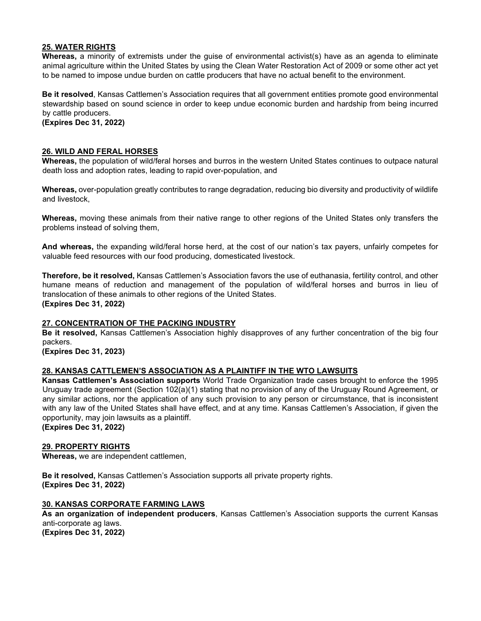## **25. WATER RIGHTS**

**Whereas,** a minority of extremists under the guise of environmental activist(s) have as an agenda to eliminate animal agriculture within the United States by using the Clean Water Restoration Act of 2009 or some other act yet to be named to impose undue burden on cattle producers that have no actual benefit to the environment.

**Be it resolved**, Kansas Cattlemen's Association requires that all government entities promote good environmental stewardship based on sound science in order to keep undue economic burden and hardship from being incurred by cattle producers.

**(Expires Dec 31, 2022)**

## **26. WILD AND FERAL HORSES**

**Whereas,** the population of wild/feral horses and burros in the western United States continues to outpace natural death loss and adoption rates, leading to rapid over-population, and

**Whereas,** over-population greatly contributes to range degradation, reducing bio diversity and productivity of wildlife and livestock,

**Whereas,** moving these animals from their native range to other regions of the United States only transfers the problems instead of solving them,

**And whereas,** the expanding wild/feral horse herd, at the cost of our nation's tax payers, unfairly competes for valuable feed resources with our food producing, domesticated livestock.

**Therefore, be it resolved,** Kansas Cattlemen's Association favors the use of euthanasia, fertility control, and other humane means of reduction and management of the population of wild/feral horses and burros in lieu of translocation of these animals to other regions of the United States. **(Expires Dec 31, 2022)**

#### **27. CONCENTRATION OF THE PACKING INDUSTRY**

**Be it resolved,** Kansas Cattlemen's Association highly disapproves of any further concentration of the big four packers.

**(Expires Dec 31, 2023)**

#### **28. KANSAS CATTLEMEN'S ASSOCIATION AS A PLAINTIFF IN THE WTO LAWSUITS**

**Kansas Cattlemen's Association supports** World Trade Organization trade cases brought to enforce the 1995 Uruguay trade agreement (Section 102(a)(1) stating that no provision of any of the Uruguay Round Agreement, or any similar actions, nor the application of any such provision to any person or circumstance, that is inconsistent with any law of the United States shall have effect, and at any time. Kansas Cattlemen's Association, if given the opportunity, may join lawsuits as a plaintiff.

**(Expires Dec 31, 2022)** 

#### **29. PROPERTY RIGHTS**

**Whereas,** we are independent cattlemen,

**Be it resolved,** Kansas Cattlemen's Association supports all private property rights. **(Expires Dec 31, 2022)**

#### **30. KANSAS CORPORATE FARMING LAWS**

**As an organization of independent producers**, Kansas Cattlemen's Association supports the current Kansas anti-corporate ag laws.

**(Expires Dec 31, 2022)**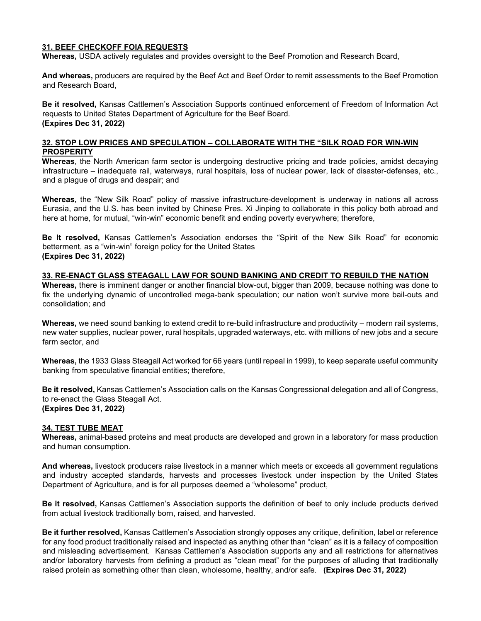### **31. BEEF CHECKOFF FOIA REQUESTS**

**Whereas,** USDA actively regulates and provides oversight to the Beef Promotion and Research Board,

**And whereas,** producers are required by the Beef Act and Beef Order to remit assessments to the Beef Promotion and Research Board,

**Be it resolved,** Kansas Cattlemen's Association Supports continued enforcement of Freedom of Information Act requests to United States Department of Agriculture for the Beef Board. **(Expires Dec 31, 2022)** 

## **32. STOP LOW PRICES AND SPECULATION – COLLABORATE WITH THE "SILK ROAD FOR WIN-WIN PROSPERITY**

**Whereas**, the North American farm sector is undergoing destructive pricing and trade policies, amidst decaying infrastructure – inadequate rail, waterways, rural hospitals, loss of nuclear power, lack of disaster-defenses, etc., and a plague of drugs and despair; and

**Whereas,** the "New Silk Road" policy of massive infrastructure-development is underway in nations all across Eurasia, and the U.S. has been invited by Chinese Pres. Xi Jinping to collaborate in this policy both abroad and here at home, for mutual, "win-win" economic benefit and ending poverty everywhere; therefore,

**Be It resolved,** Kansas Cattlemen's Association endorses the "Spirit of the New Silk Road" for economic betterment, as a "win-win" foreign policy for the United States **(Expires Dec 31, 2022)** 

## **33. RE-ENACT GLASS STEAGALL LAW FOR SOUND BANKING AND CREDIT TO REBUILD THE NATION**

**Whereas,** there is imminent danger or another financial blow-out, bigger than 2009, because nothing was done to fix the underlying dynamic of uncontrolled mega-bank speculation; our nation won't survive more bail-outs and consolidation; and

**Whereas,** we need sound banking to extend credit to re-build infrastructure and productivity – modern rail systems, new water supplies, nuclear power, rural hospitals, upgraded waterways, etc. with millions of new jobs and a secure farm sector, and

**Whereas,** the 1933 Glass Steagall Act worked for 66 years (until repeal in 1999), to keep separate useful community banking from speculative financial entities; therefore,

**Be it resolved,** Kansas Cattlemen's Association calls on the Kansas Congressional delegation and all of Congress, to re-enact the Glass Steagall Act. **(Expires Dec 31, 2022)** 

## **34. TEST TUBE MEAT**

**Whereas,** animal-based proteins and meat products are developed and grown in a laboratory for mass production and human consumption.

**And whereas,** livestock producers raise livestock in a manner which meets or exceeds all government regulations and industry accepted standards, harvests and processes livestock under inspection by the United States Department of Agriculture, and is for all purposes deemed a "wholesome" product,

**Be it resolved,** Kansas Cattlemen's Association supports the definition of beef to only include products derived from actual livestock traditionally born, raised, and harvested.

**Be it further resolved,** Kansas Cattlemen's Association strongly opposes any critique, definition, label or reference for any food product traditionally raised and inspected as anything other than "clean" as it is a fallacy of composition and misleading advertisement. Kansas Cattlemen's Association supports any and all restrictions for alternatives and/or laboratory harvests from defining a product as "clean meat" for the purposes of alluding that traditionally raised protein as something other than clean, wholesome, healthy, and/or safe. **(Expires Dec 31, 2022)**